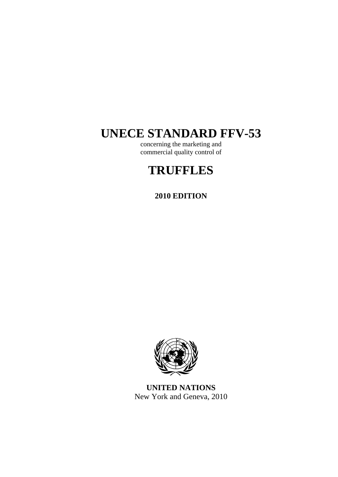# **UNECE STANDARD FFV-53**

concerning the marketing and commercial quality control of

# **TRUFFLES**

# **2010 EDITION**



**UNITED NATIONS**  New York and Geneva, 2010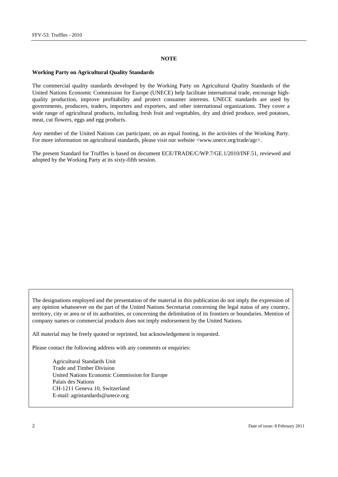#### **NOTE**

#### **Working Party on Agricultural Quality Standards**

The commercial quality standards developed by the Working Party on Agricultural Quality Standards of the United Nations Economic Commission for Europe (UNECE) help facilitate international trade, encourage highquality production, improve profitability and protect consumer interests. UNECE standards are used by governments, producers, traders, importers and exporters, and other international organizations. They cover a wide range of agricultural products, including fresh fruit and vegetables, dry and dried produce, seed potatoes, meat, cut flowers, eggs and egg products.

Any member of the United Nations can participate, on an equal footing, in the activities of the Working Party. For more information on agricultural standards, please visit our website  $\langle$ www.unece.org/trade/agr>.

The present Standard for Truffles is based on document ECE/TRADE/C/WP.7/GE.1/2010/INF.51, reviewed and adopted by the Working Party at its sixty-fifth session.

The designations employed and the presentation of the material in this publication do not imply the expression of any opinion whatsoever on the part of the United Nations Secretariat concerning the legal status of any country, territory, city or area or of its authorities, or concerning the delimitation of its frontiers or boundaries. Mention of company names or commercial products does not imply endorsement by the United Nations.

All material may be freely quoted or reprinted, but acknowledgement is requested.

Please contact the following address with any comments or enquiries:

Agricultural Standards Unit Trade and Timber Division United Nations Economic Commission for Europe Palais des Nations CH-1211 Geneva 10, Switzerland E-mail: agristandards@unece.org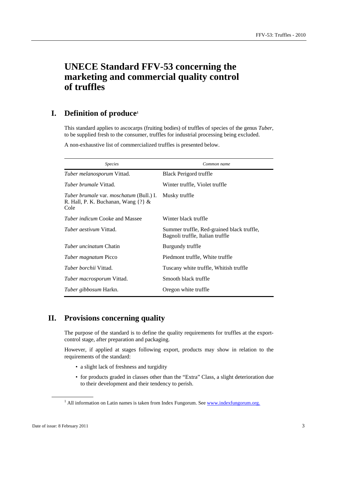# **UNECE Standard FFV-53 concerning the marketing and commercial quality control of truffles**

# **I. Definition of produce1**

This standard applies to ascocarps (fruiting bodies) of truffles of species of the genus *Tuber*, to be supplied fresh to the consumer, truffles for industrial processing being excluded.

A non-exhaustive list of commercialized truffles is presented below.

| <i>Species</i>                                                                                    | Common name                                                                    |
|---------------------------------------------------------------------------------------------------|--------------------------------------------------------------------------------|
| Tuber melanosporum Vittad.                                                                        | Black Perigord truffle                                                         |
| <i>Tuber brumale</i> Vittad.                                                                      | Winter truffle, Violet truffle                                                 |
| <i>Tuber brumale var. moschatum (Bull.) I.</i><br>R. Hall, P. K. Buchanan, Wang $\{?\}\&$<br>Cole | Musky truffle                                                                  |
| <i>Tuber indicum</i> Cooke and Massee                                                             | Winter black truffle                                                           |
| <i>Tuber aestivum</i> Vittad.                                                                     | Summer truffle, Red-grained black truffle,<br>Bagnoli truffle, Italian truffle |
| <i>Tuber uncinatum</i> Chatin                                                                     | Burgundy truffle                                                               |
| <i>Tuber magnatum</i> Picco                                                                       | Piedmont truffle, White truffle                                                |
| <i>Tuber borchii</i> Vittad.                                                                      | Tuscany white truffle, Whitish truffle                                         |
| <i>Tuber macrosporum</i> Vittad.                                                                  | Smooth black truffle                                                           |
| Tuber gibbosum Harkn.                                                                             | Oregon white truffle                                                           |

# **II. Provisions concerning quality**

The purpose of the standard is to define the quality requirements for truffles at the exportcontrol stage, after preparation and packaging.

However, if applied at stages following export, products may show in relation to the requirements of the standard:

- a slight lack of freshness and turgidity
- for products graded in classes other than the "Extra" Class, a slight deterioration due to their development and their tendency to perish.

<sup>&</sup>lt;sup>1</sup> All information on Latin names is taken from Index Fungorum. See www.indexfungorum.org.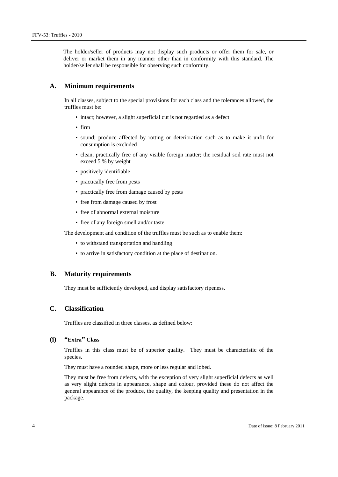The holder/seller of products may not display such products or offer them for sale, or deliver or market them in any manner other than in conformity with this standard. The holder/seller shall be responsible for observing such conformity.

#### **A. Minimum requirements**

In all classes, subject to the special provisions for each class and the tolerances allowed, the truffles must be:

- intact; however, a slight superficial cut is not regarded as a defect
- firm
- sound; produce affected by rotting or deterioration such as to make it unfit for consumption is excluded
- clean, practically free of any visible foreign matter; the residual soil rate must not exceed 5 % by weight
- positively identifiable
- practically free from pests
- practically free from damage caused by pests
- free from damage caused by frost
- free of abnormal external moisture
- free of any foreign smell and/or taste.

The development and condition of the truffles must be such as to enable them:

- to withstand transportation and handling
- to arrive in satisfactory condition at the place of destination.

## **B. Maturity requirements**

They must be sufficiently developed, and display satisfactory ripeness.

# **C. Classification**

Truffles are classified in three classes, as defined below:

# **(i) "Extra" Class**

Truffles in this class must be of superior quality. They must be characteristic of the species.

They must have a rounded shape, more or less regular and lobed.

They must be free from defects, with the exception of very slight superficial defects as well as very slight defects in appearance, shape and colour, provided these do not affect the general appearance of the produce, the quality, the keeping quality and presentation in the package.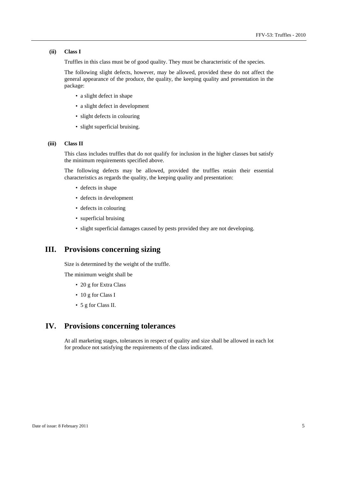#### **(ii) Class I**

Truffles in this class must be of good quality. They must be characteristic of the species.

The following slight defects, however, may be allowed, provided these do not affect the general appearance of the produce, the quality, the keeping quality and presentation in the package:

- a slight defect in shape
- a slight defect in development
- slight defects in colouring
- slight superficial bruising.

#### **(iii) Class II**

This class includes truffles that do not qualify for inclusion in the higher classes but satisfy the minimum requirements specified above.

The following defects may be allowed, provided the truffles retain their essential characteristics as regards the quality, the keeping quality and presentation:

- defects in shape
- defects in development
- defects in colouring
- superficial bruising
- slight superficial damages caused by pests provided they are not developing.

# **III. Provisions concerning sizing**

Size is determined by the weight of the truffle.

The minimum weight shall be

- 20 g for Extra Class
- 10 g for Class I
- 5 g for Class II.

# **IV. Provisions concerning tolerances**

At all marketing stages, tolerances in respect of quality and size shall be allowed in each lot for produce not satisfying the requirements of the class indicated.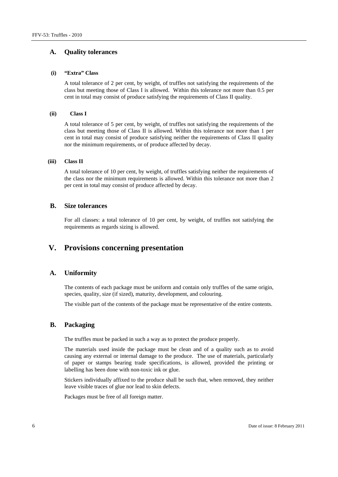# **A. Quality tolerances**

#### **(i) "Extra" Class**

A total tolerance of 2 per cent, by weight, of truffles not satisfying the requirements of the class but meeting those of Class I is allowed. Within this tolerance not more than 0.5 per cent in total may consist of produce satisfying the requirements of Class II quality.

#### **(ii) Class I**

A total tolerance of 5 per cent, by weight, of truffles not satisfying the requirements of the class but meeting those of Class II is allowed. Within this tolerance not more than 1 per cent in total may consist of produce satisfying neither the requirements of Class II quality nor the minimum requirements, or of produce affected by decay.

#### **(iii) Class II**

A total tolerance of 10 per cent, by weight, of truffles satisfying neither the requirements of the class nor the minimum requirements is allowed. Within this tolerance not more than 2 per cent in total may consist of produce affected by decay.

### **B. Size tolerances**

For all classes: a total tolerance of 10 per cent, by weight, of truffles not satisfying the requirements as regards sizing is allowed.

# **V. Provisions concerning presentation**

# **A. Uniformity**

The contents of each package must be uniform and contain only truffles of the same origin, species, quality, size (if sized), maturity, development, and colouring.

The visible part of the contents of the package must be representative of the entire contents.

# **B. Packaging**

The truffles must be packed in such a way as to protect the produce properly.

The materials used inside the package must be clean and of a quality such as to avoid causing any external or internal damage to the produce. The use of materials, particularly of paper or stamps bearing trade specifications, is allowed, provided the printing or labelling has been done with non-toxic ink or glue.

Stickers individually affixed to the produce shall be such that, when removed, they neither leave visible traces of glue nor lead to skin defects.

Packages must be free of all foreign matter.